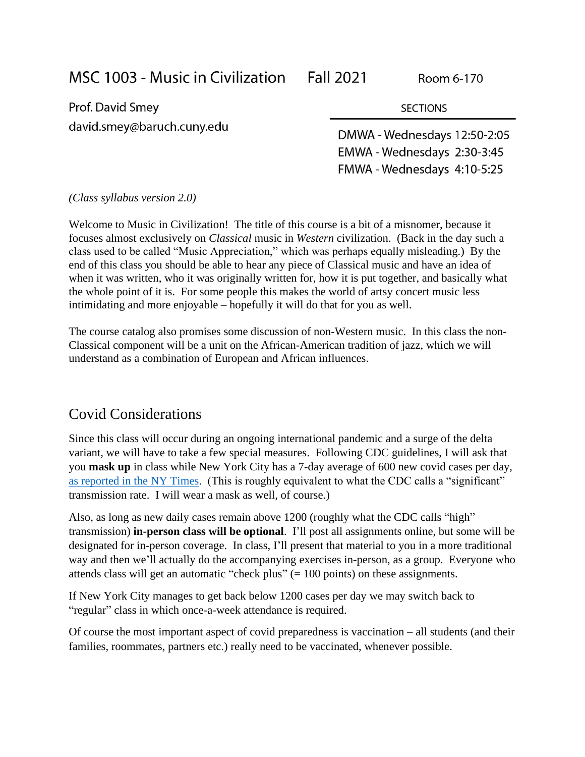MSC 1003 - Music in Civilization

Prof. David Smey david.smey@baruch.cuny.edu

DMWA - Wednesdays 12:50-2:05 EMWA - Wednesdays 2:30-3:45 FMWA-Wednesdays 4:10-5:25

**SECTIONS** 

#### *(Class syllabus version 2.0)*

Welcome to Music in Civilization! The title of this course is a bit of a misnomer, because it focuses almost exclusively on *Classical* music in *Western* civilization. (Back in the day such a class used to be called "Music Appreciation," which was perhaps equally misleading.) By the end of this class you should be able to hear any piece of Classical music and have an idea of when it was written, who it was originally written for, how it is put together, and basically what the whole point of it is. For some people this makes the world of artsy concert music less intimidating and more enjoyable – hopefully it will do that for you as well.

The course catalog also promises some discussion of non-Western music. In this class the non-Classical component will be a unit on the African-American tradition of jazz, which we will understand as a combination of European and African influences.

## Covid Considerations

Since this class will occur during an ongoing international pandemic and a surge of the delta variant, we will have to take a few special measures. Following CDC guidelines, I will ask that you **mask up** in class while New York City has a 7-day average of 600 new covid cases per day, [as reported in the NY Times.](https://www.nytimes.com/interactive/2021/us/new-york-city-new-york-covid-cases.html) (This is roughly equivalent to what the CDC calls a "significant" transmission rate. I will wear a mask as well, of course.)

Also, as long as new daily cases remain above 1200 (roughly what the CDC calls "high" transmission) **in-person class will be optional**. I'll post all assignments online, but some will be designated for in-person coverage. In class, I'll present that material to you in a more traditional way and then we'll actually do the accompanying exercises in-person, as a group. Everyone who attends class will get an automatic "check plus" (= 100 points) on these assignments.

If New York City manages to get back below 1200 cases per day we may switch back to "regular" class in which once-a-week attendance is required.

Of course the most important aspect of covid preparedness is vaccination – all students (and their families, roommates, partners etc.) really need to be vaccinated, whenever possible.

Room 6-170

**Fall 2021**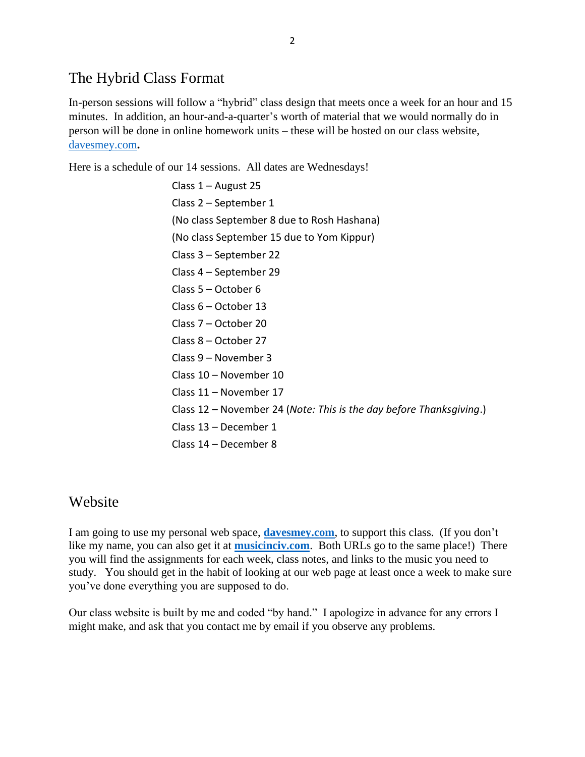## The Hybrid Class Format

In-person sessions will follow a "hybrid" class design that meets once a week for an hour and 15 minutes. In addition, an hour-and-a-quarter's worth of material that we would normally do in person will be done in online homework units – these will be hosted on our class website, [davesmey.com](https://davesmey.com/)**.** 

Here is a schedule of our 14 sessions. All dates are Wednesdays!

Class 1 – August 25 Class 2 – September 1 (No class September 8 due to Rosh Hashana) (No class September 15 due to Yom Kippur) Class 3 – September 22 Class 4 – September 29 Class 5 – October 6 Class 6 – October 13 Class 7 – October 20 Class 8 – October 27 Class 9 – November 3 Class 10 – November 10 Class 11 – November 17 Class 12 – November 24 (*Note: This is the day before Thanksgiving*.) Class 13 – December 1 Class 14 – December 8

## Website

I am going to use my personal web space, **[davesmey.com](http://davesmey.com/)**, to support this class. (If you don't like my name, you can also get it at **[musicinciv.com](https://musicinciv.com/)**. Both URLs go to the same place!) There you will find the assignments for each week, class notes, and links to the music you need to study. You should get in the habit of looking at our web page at least once a week to make sure you've done everything you are supposed to do.

Our class website is built by me and coded "by hand." I apologize in advance for any errors I might make, and ask that you contact me by email if you observe any problems.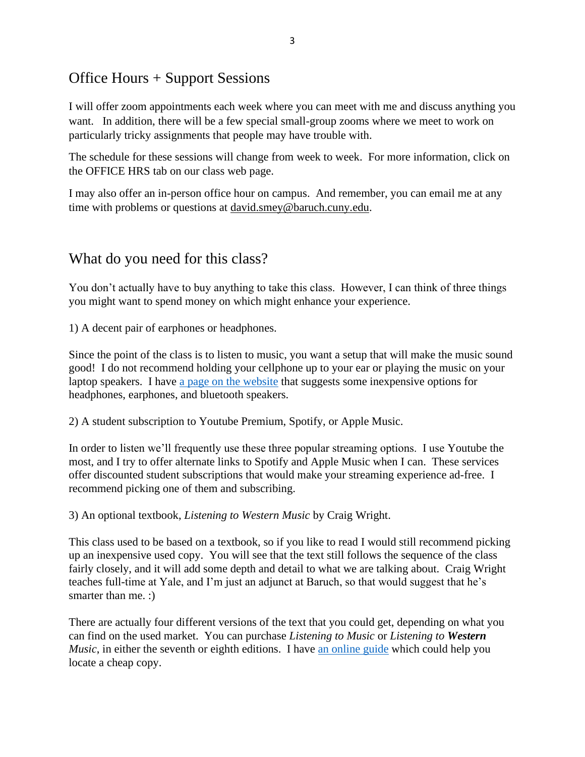# Office Hours + Support Sessions

I will offer zoom appointments each week where you can meet with me and discuss anything you want. In addition, there will be a few special small-group zooms where we meet to work on particularly tricky assignments that people may have trouble with.

The schedule for these sessions will change from week to week. For more information, click on the OFFICE HRS tab on our class web page.

I may also offer an in-person office hour on campus. And remember, you can email me at any time with problems or questions at david.smey@baruch.cuny.edu.

## What do you need for this class?

You don't actually have to buy anything to take this class. However, I can think of three things you might want to spend money on which might enhance your experience.

1) A decent pair of earphones or headphones.

Since the point of the class is to listen to music, you want a setup that will make the music sound good! I do not recommend holding your cellphone up to your ear or playing the music on your laptop speakers. I have [a page on the website](https://davesmey.com/msc1003/special.php?p=gear) that suggests some inexpensive options for headphones, earphones, and bluetooth speakers.

2) A student subscription to Youtube Premium, Spotify, or Apple Music.

In order to listen we'll frequently use these three popular streaming options. I use Youtube the most, and I try to offer alternate links to Spotify and Apple Music when I can. These services offer discounted student subscriptions that would make your streaming experience ad-free. I recommend picking one of them and subscribing.

3) An optional textbook, *Listening to Western Music* by Craig Wright.

This class used to be based on a textbook, so if you like to read I would still recommend picking up an inexpensive used copy. You will see that the text still follows the sequence of the class fairly closely, and it will add some depth and detail to what we are talking about. Craig Wright teaches full-time at Yale, and I'm just an adjunct at Baruch, so that would suggest that he's smarter than me. :

There are actually four different versions of the text that you could get, depending on what you can find on the used market. You can purchase *Listening to Music* or *Listening to Western Music*, in either the seventh or eighth editions. I have [an online guide](https://davesmey.com/msc1003/special.php?p=bd) which could help you locate a cheap copy.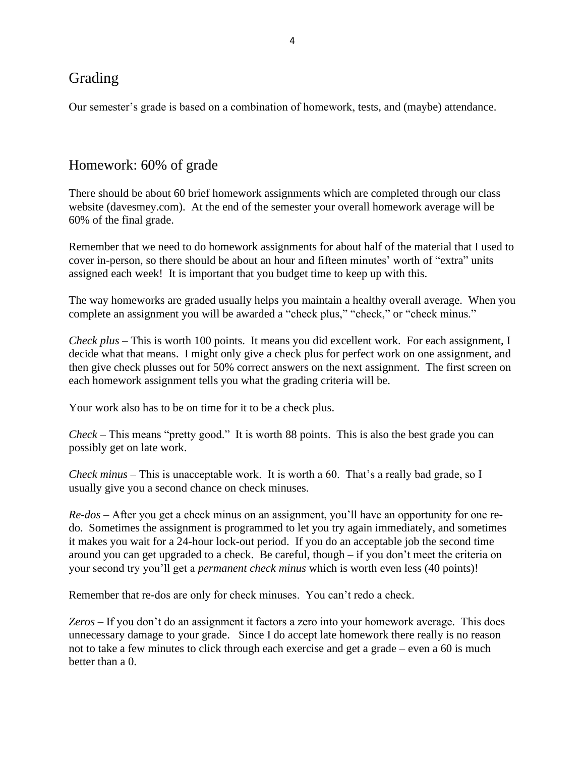## Grading

Our semester's grade is based on a combination of homework, tests, and (maybe) attendance.

## Homework: 60% of grade

There should be about 60 brief homework assignments which are completed through our class website (davesmey.com). At the end of the semester your overall homework average will be 60% of the final grade.

Remember that we need to do homework assignments for about half of the material that I used to cover in-person, so there should be about an hour and fifteen minutes' worth of "extra" units assigned each week! It is important that you budget time to keep up with this.

The way homeworks are graded usually helps you maintain a healthy overall average. When you complete an assignment you will be awarded a "check plus," "check," or "check minus."

*Check plus* – This is worth 100 points. It means you did excellent work. For each assignment, I decide what that means. I might only give a check plus for perfect work on one assignment, and then give check plusses out for 50% correct answers on the next assignment. The first screen on each homework assignment tells you what the grading criteria will be.

Your work also has to be on time for it to be a check plus.

*Check* – This means "pretty good." It is worth 88 points. This is also the best grade you can possibly get on late work.

*Check minus* – This is unacceptable work. It is worth a 60. That's a really bad grade, so I usually give you a second chance on check minuses.

*Re-dos* – After you get a check minus on an assignment, you'll have an opportunity for one redo. Sometimes the assignment is programmed to let you try again immediately, and sometimes it makes you wait for a 24-hour lock-out period. If you do an acceptable job the second time around you can get upgraded to a check. Be careful, though – if you don't meet the criteria on your second try you'll get a *permanent check minus* which is worth even less (40 points)!

Remember that re-dos are only for check minuses. You can't redo a check.

*Zeros* – If you don't do an assignment it factors a zero into your homework average. This does unnecessary damage to your grade. Since I do accept late homework there really is no reason not to take a few minutes to click through each exercise and get a grade – even a 60 is much better than a 0.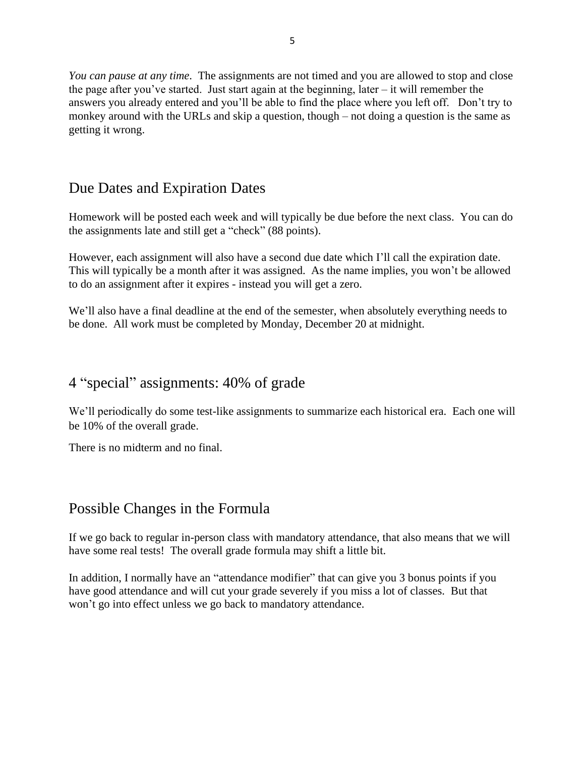*You can pause at any time*. The assignments are not timed and you are allowed to stop and close the page after you've started. Just start again at the beginning, later – it will remember the answers you already entered and you'll be able to find the place where you left off. Don't try to monkey around with the URLs and skip a question, though – not doing a question is the same as getting it wrong.

## Due Dates and Expiration Dates

Homework will be posted each week and will typically be due before the next class. You can do the assignments late and still get a "check" (88 points).

However, each assignment will also have a second due date which I'll call the expiration date. This will typically be a month after it was assigned. As the name implies, you won't be allowed to do an assignment after it expires - instead you will get a zero.

We'll also have a final deadline at the end of the semester, when absolutely everything needs to be done. All work must be completed by Monday, December 20 at midnight.

### 4 "special" assignments: 40% of grade

We'll periodically do some test-like assignments to summarize each historical era. Each one will be 10% of the overall grade.

There is no midterm and no final.

## Possible Changes in the Formula

If we go back to regular in-person class with mandatory attendance, that also means that we will have some real tests! The overall grade formula may shift a little bit.

In addition, I normally have an "attendance modifier" that can give you 3 bonus points if you have good attendance and will cut your grade severely if you miss a lot of classes. But that won't go into effect unless we go back to mandatory attendance.